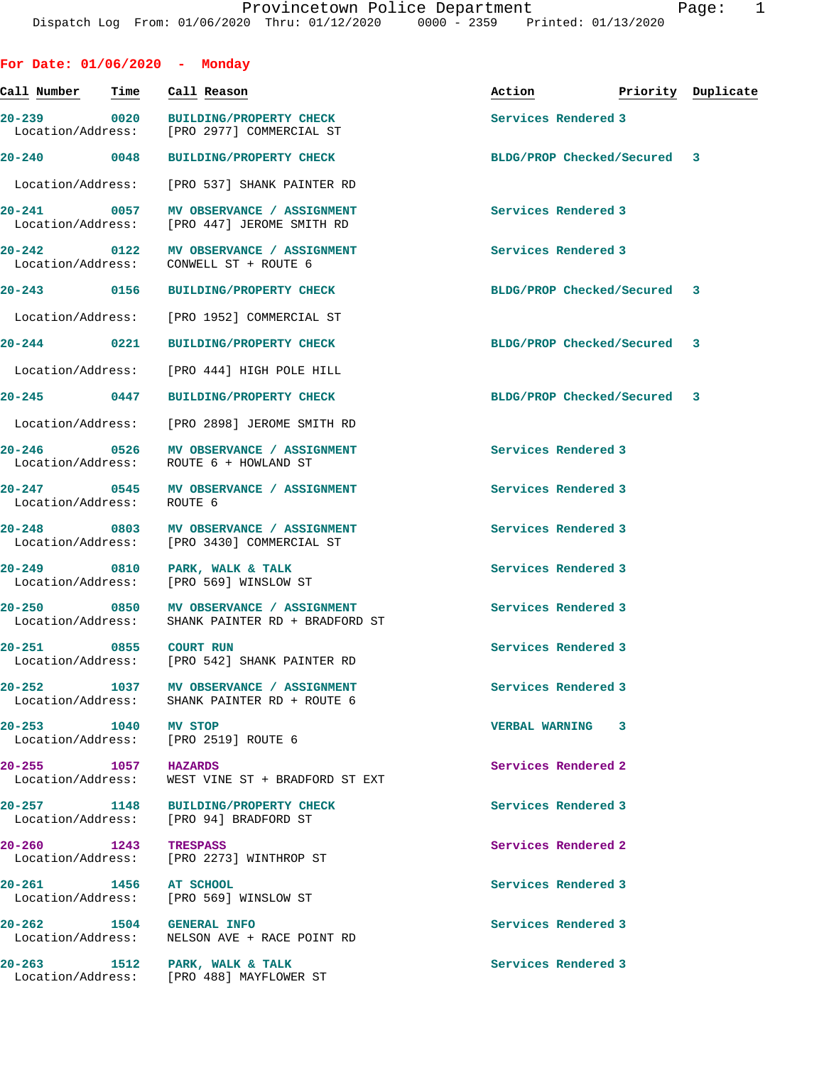| For Date: 01/06/2020 - Monday        |             |                                                                                            |                             |                    |
|--------------------------------------|-------------|--------------------------------------------------------------------------------------------|-----------------------------|--------------------|
| Call Number                          | <b>Time</b> | Call Reason                                                                                | Action                      | Priority Duplicate |
| 20-239 0020<br>Location/Address:     |             | <b>BUILDING/PROPERTY CHECK</b><br>[PRO 2977] COMMERCIAL ST                                 | Services Rendered 3         |                    |
| $20 - 240$ 0048                      |             | <b>BUILDING/PROPERTY CHECK</b>                                                             | BLDG/PROP Checked/Secured 3 |                    |
| Location/Address:                    |             | [PRO 537] SHANK PAINTER RD                                                                 |                             |                    |
| 20-241 0057<br>Location/Address:     |             | MV OBSERVANCE / ASSIGNMENT<br>[PRO 447] JEROME SMITH RD                                    | Services Rendered 3         |                    |
| $20 - 242$ 0122<br>Location/Address: |             | MV OBSERVANCE / ASSIGNMENT<br>CONWELL ST + ROUTE 6                                         | Services Rendered 3         |                    |
| 20-243 0156                          |             | <b>BUILDING/PROPERTY CHECK</b>                                                             | BLDG/PROP Checked/Secured 3 |                    |
| Location/Address:                    |             | [PRO 1952] COMMERCIAL ST                                                                   |                             |                    |
|                                      |             | 20-244 0221 BUILDING/PROPERTY CHECK                                                        | BLDG/PROP Checked/Secured 3 |                    |
| Location/Address:                    |             | FPRO 4441 HIGH POLE HILL                                                                   |                             |                    |
| $20 - 245$ 0447                      |             | BUILDING/PROPERTY CHECK                                                                    | BLDG/PROP Checked/Secured 3 |                    |
| Location/Address:                    |             | [PRO 2898] JEROME SMITH RD                                                                 |                             |                    |
| 20-246 0526<br>Location/Address:     |             | MV OBSERVANCE / ASSIGNMENT<br>ROUTE 6 + HOWLAND ST                                         | Services Rendered 3         |                    |
| Location/Address:                    |             | 20-247 0545 MV OBSERVANCE / ASSIGNMENT<br>ROUTE 6                                          | Services Rendered 3         |                    |
| Location/Address:                    |             | 20-248 0803 MV OBSERVANCE / ASSIGNMENT<br>[PRO 3430] COMMERCIAL ST                         | Services Rendered 3         |                    |
| $20 - 249$                           |             | 0810 PARK, WALK & TALK<br>Location/Address: [PRO 569] WINSLOW ST                           | Services Rendered 3         |                    |
|                                      |             | 20-250 0850 MV OBSERVANCE / ASSIGNMENT<br>Location/Address: SHANK PAINTER RD + BRADFORD ST | Services Rendered 3         |                    |
| 20-251                               | 0855        | <b>COURT RUN</b><br>Location/Address: [PRO 542] SHANK PAINTER RD                           | Services Rendered 3         |                    |
| $20 - 252$                           | 1037        | <b>MV OBSERVANCE / ASSIGNMENT</b><br>Location/Address: SHANK PAINTER RD + ROUTE 6          | Services Rendered 3         |                    |
| 20-253 1040 MV STOP                  |             | Location/Address: [PRO 2519] ROUTE 6                                                       | VERBAL WARNING 3            |                    |
| 20-255 1057<br>Location/Address:     |             | HAZARDS<br>WEST VINE ST + BRADFORD ST EXT                                                  | Services Rendered 2         |                    |
|                                      |             | 20-257 1148 BUILDING/PROPERTY CHECK<br>Location/Address: [PRO 94] BRADFORD ST              | Services Rendered 3         |                    |
| 20-260 1243<br>Location/Address:     |             | <b>TRESPASS</b><br>[PRO 2273] WINTHROP ST                                                  | Services Rendered 2         |                    |
| 20-261 1456 AT SCHOOL                |             | Location/Address: [PRO 569] WINSLOW ST                                                     | Services Rendered 3         |                    |
| 20-262 1504 GENERAL INFO             |             | Location/Address: NELSON AVE + RACE POINT RD                                               | Services Rendered 3         |                    |
|                                      |             | 20-263 1512 PARK, WALK & TALK<br>Location/Address: [PRO 488] MAYFLOWER ST                  | Services Rendered 3         |                    |
|                                      |             |                                                                                            |                             |                    |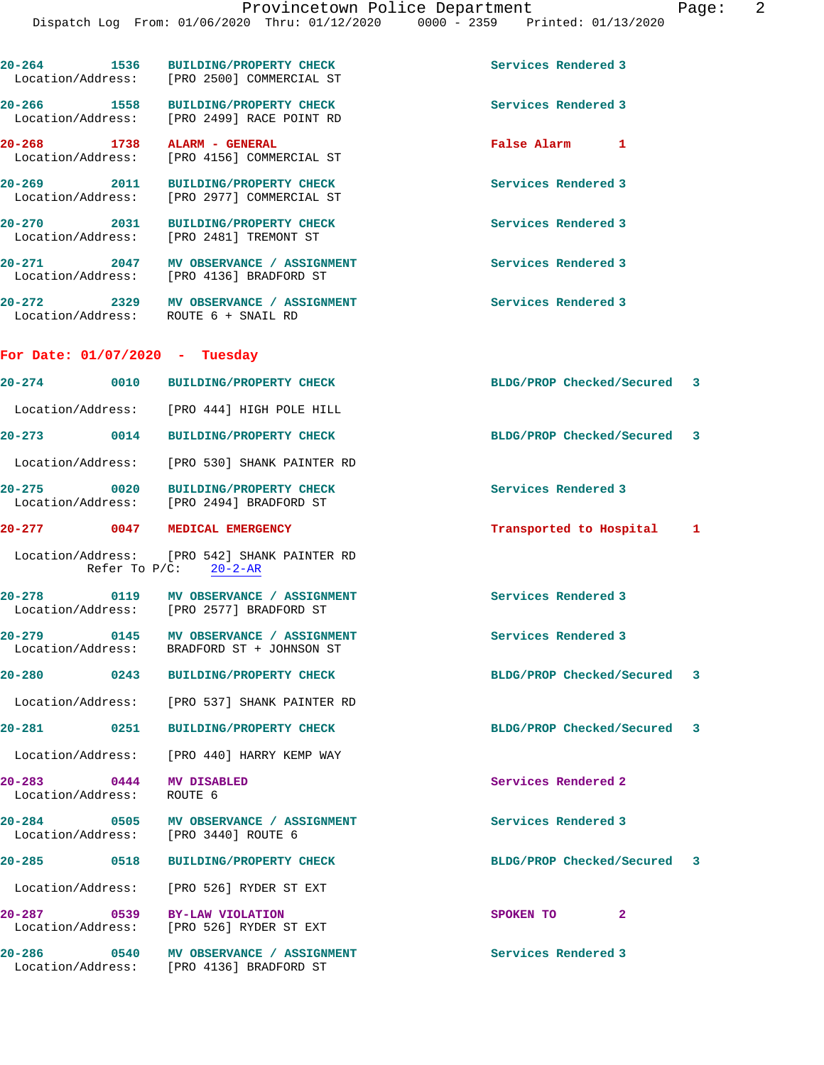|                                         | 20-264 1536 BUILDING/PROPERTY CHECK<br>Location/Address: [PRO 2500] COMMERCIAL ST  | Services Rendered 3         |   |
|-----------------------------------------|------------------------------------------------------------------------------------|-----------------------------|---|
|                                         | 20-266 1558 BUILDING/PROPERTY CHECK<br>Location/Address: [PRO 2499] RACE POINT RD  | Services Rendered 3         |   |
|                                         | 20-268 1738 ALARM - GENERAL<br>Location/Address: [PRO 4156] COMMERCIAL ST          | False Alarm 1               |   |
|                                         | 20-269 2011 BUILDING/PROPERTY CHECK<br>Location/Address: [PRO 2977] COMMERCIAL ST  | Services Rendered 3         |   |
|                                         | 20-270 2031 BUILDING/PROPERTY CHECK<br>Location/Address: [PRO 2481] TREMONT ST     | Services Rendered 3         |   |
|                                         | 20-271 2047 MV OBSERVANCE / ASSIGNMENT<br>Location/Address: [PRO 4136] BRADFORD ST | Services Rendered 3         |   |
|                                         | 20-272 2329 MV OBSERVANCE / ASSIGNMENT<br>Location/Address: ROUTE 6 + SNAIL RD     | <b>Services Rendered 3</b>  |   |
| For Date: $01/07/2020 - Tuesday$        |                                                                                    |                             |   |
|                                         | 20-274 0010 BUILDING/PROPERTY CHECK                                                | BLDG/PROP Checked/Secured 3 |   |
|                                         | Location/Address: [PRO 444] HIGH POLE HILL                                         |                             |   |
|                                         | 20-273 0014 BUILDING/PROPERTY CHECK                                                | BLDG/PROP Checked/Secured 3 |   |
|                                         | Location/Address: [PRO 530] SHANK PAINTER RD                                       |                             |   |
|                                         | 20-275 0020 BUILDING/PROPERTY CHECK<br>Location/Address: [PRO 2494] BRADFORD ST    | Services Rendered 3         |   |
|                                         | 20-277 0047 MEDICAL EMERGENCY                                                      | Transported to Hospital 1   |   |
|                                         | Location/Address: [PRO 542] SHANK PAINTER RD<br>Refer To $P/C$ : $20-2-AR$         |                             |   |
|                                         | 20-278 0119 MV OBSERVANCE / ASSIGNMENT<br>Location/Address: [PRO 2577] BRADFORD ST | Services Rendered 3         |   |
| $20 - 279$                              | 0145 MV OBSERVANCE / ASSIGNMENT<br>Location/Address: BRADFORD ST + JOHNSON ST      | Services Rendered 3         |   |
| $20 - 280$                              | 0243 BUILDING/PROPERTY CHECK                                                       | BLDG/PROP Checked/Secured   | 3 |
|                                         | Location/Address: [PRO 537] SHANK PAINTER RD                                       |                             |   |
|                                         | 20-281 0251 BUILDING/PROPERTY CHECK                                                | BLDG/PROP Checked/Secured   | 3 |
|                                         | Location/Address: [PRO 440] HARRY KEMP WAY                                         |                             |   |
| $20 - 283$<br>Location/Address: ROUTE 6 | 0444 MV DISABLED                                                                   | Services Rendered 2         |   |
|                                         | 20-284 0505 MV OBSERVANCE / ASSIGNMENT<br>Location/Address: [PRO 3440] ROUTE 6     | Services Rendered 3         |   |
|                                         | 20-285 0518 BUILDING/PROPERTY CHECK                                                | BLDG/PROP Checked/Secured 3 |   |
|                                         | Location/Address: [PRO 526] RYDER ST EXT                                           |                             |   |
|                                         | 20-287 0539 BY-LAW VIOLATION<br>Location/Address: [PRO 526] RYDER ST EXT           | SPOKEN TO<br>2              |   |
|                                         | 20-286 0540 MV OBSERVANCE / ASSIGNMENT<br>Location/Address: [PRO 4136] BRADFORD ST | Services Rendered 3         |   |
|                                         |                                                                                    |                             |   |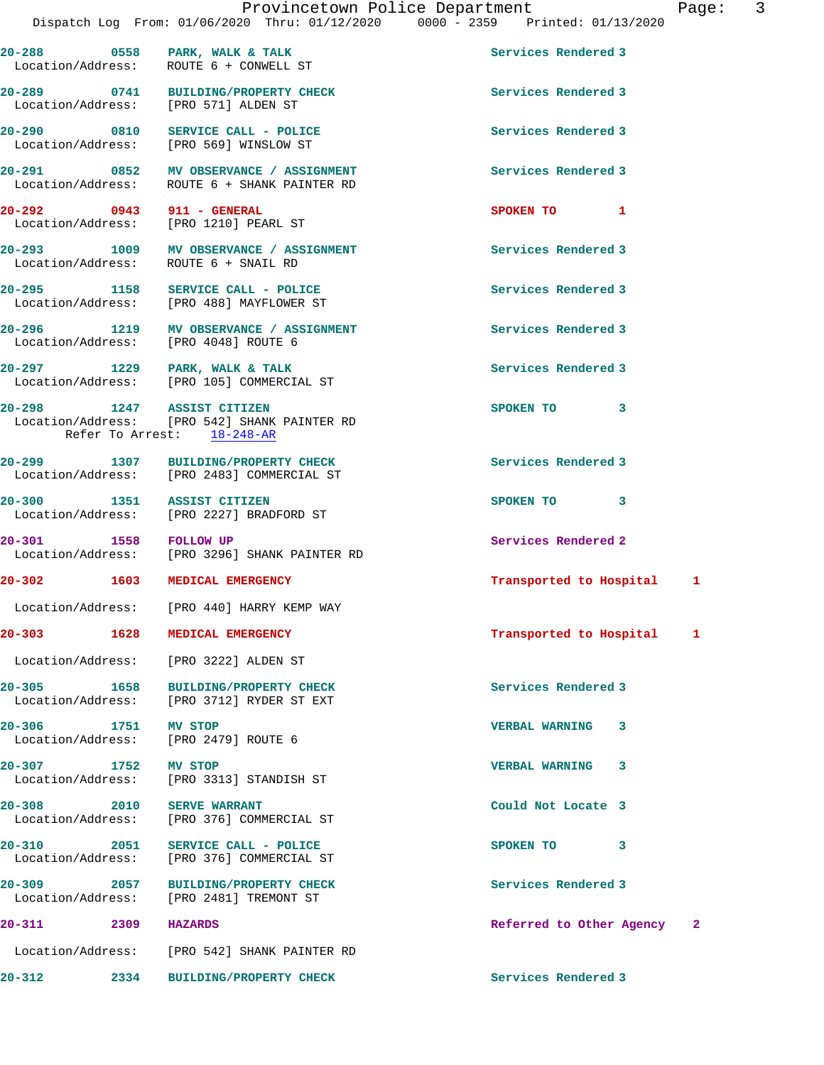| 20-288 0558<br>Location/Address: | PARK, WALK & TALK<br>ROUTE 6 + CONWELL ST                                         | Services Rendered 3      |              |
|----------------------------------|-----------------------------------------------------------------------------------|--------------------------|--------------|
|                                  | 20-289 0741 BUILDING/PROPERTY CHECK<br>Location/Address: [PRO 571] ALDEN ST       | Services Rendered 3      |              |
|                                  | 20-290 0810 SERVICE CALL - POLICE<br>Location/Address: [PRO 569] WINSLOW ST       | Services Rendered 3      |              |
| $20 - 291$<br>Location/Address:  | 0852 MV OBSERVANCE / ASSIGNMENT<br>ROUTE 6 + SHANK PAINTER RD                     | Services Rendered 3      |              |
| 20-292 0943 911 - GENERAL        | Location/Address: [PRO 1210] PEARL ST                                             | SPOKEN TO 1              |              |
| Location/Address:                | 20-293 1009 MV OBSERVANCE / ASSIGNMENT<br>ROUTE 6 + SNAIL RD                      | Services Rendered 3      |              |
|                                  | 20-295 1158 SERVICE CALL - POLICE<br>Location/Address: [PRO 488] MAYFLOWER ST     | Services Rendered 3      |              |
|                                  | 20-296 1219 MV OBSERVANCE / ASSIGNMENT<br>Location/Address: [PRO 4048] ROUTE 6    | Services Rendered 3      |              |
|                                  | 20-297 1229 PARK, WALK & TALK<br>Location/Address: [PRO 105] COMMERCIAL ST        | Services Rendered 3      |              |
| 20-298 1247 ASSIST CITIZEN       | Location/Address: [PRO 542] SHANK PAINTER RD<br>Refer To Arrest: 18-248-AR        | SPOKEN TO<br>3           |              |
|                                  | 20-299 1307 BUILDING/PROPERTY CHECK<br>Location/Address: [PRO 2483] COMMERCIAL ST | Services Rendered 3      |              |
| 20-300 1351 ASSIST CITIZEN       | Location/Address: [PRO 2227] BRADFORD ST                                          | SPOKEN TO 3              |              |
| 1558 FOLLOW UP<br>$20 - 301$     | Location/Address: [PRO 3296] SHANK PAINTER RD                                     | Services Rendered 2      |              |
| $20 - 302$                       | 1603 MEDICAL EMERGENCY                                                            | Transported to Hospital  | 1            |
|                                  | Location/Address: [PRO 440] HARRY KEMP WAY                                        |                          |              |
| $20 - 303$                       | 1628 MEDICAL EMERGENCY                                                            | Transported to Hospital  | -1           |
|                                  | Location/Address: [PRO 3222] ALDEN ST                                             |                          |              |
|                                  | 20-305 1658 BUILDING/PROPERTY CHECK<br>Location/Address: [PRO 3712] RYDER ST EXT  | Services Rendered 3      |              |
| 20-306 1751 MV STOP              | Location/Address: [PRO 2479] ROUTE 6                                              | <b>VERBAL WARNING 3</b>  |              |
| 20-307 1752 MV STOP              | Location/Address: [PRO 3313] STANDISH ST                                          | VERBAL WARNING 3         |              |
| 20-308 2010                      | <b>SERVE WARRANT</b><br>Location/Address: [PRO 376] COMMERCIAL ST                 | Could Not Locate 3       |              |
|                                  | 20-310 2051 SERVICE CALL - POLICE<br>Location/Address: [PRO 376] COMMERCIAL ST    | SPOKEN TO 3              |              |
|                                  | 20-309 2057 BUILDING/PROPERTY CHECK<br>Location/Address: [PRO 2481] TREMONT ST    | Services Rendered 3      |              |
| $20 - 311$<br>2309 HAZARDS       |                                                                                   | Referred to Other Agency | $\mathbf{2}$ |
|                                  | Location/Address: [PRO 542] SHANK PAINTER RD                                      |                          |              |
|                                  |                                                                                   |                          |              |

**20-312 2334 BUILDING/PROPERTY CHECK Services Rendered 3**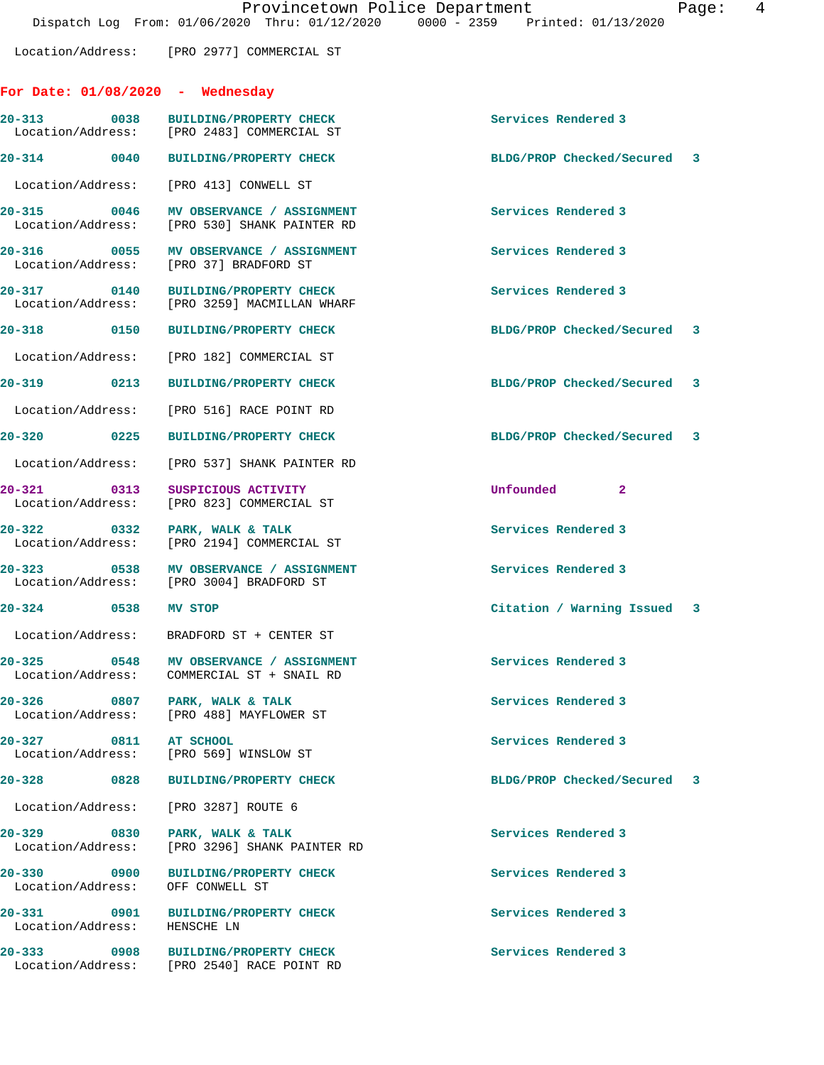Location/Address: [PRO 2977] COMMERCIAL ST

## **For Date: 01/08/2020 - Wednesday**

| ror Date: 01/08/2020 - wednesday                                                                                                  |                                                                                        |                                |  |
|-----------------------------------------------------------------------------------------------------------------------------------|----------------------------------------------------------------------------------------|--------------------------------|--|
| 20-313                                                                                                                            | 0038 BUILDING/PROPERTY CHECK<br>Location/Address: [PRO 2483] COMMERCIAL ST             | Services Rendered 3            |  |
| $20 - 314$ 0040                                                                                                                   | <b>BUILDING/PROPERTY CHECK</b>                                                         | BLDG/PROP Checked/Secured 3    |  |
| Location/Address: [PRO 413] CONWELL ST                                                                                            |                                                                                        |                                |  |
|                                                                                                                                   | 20-315 0046 MV OBSERVANCE / ASSIGNMENT<br>Location/Address: [PRO 530] SHANK PAINTER RD | Services Rendered 3            |  |
| 20-316 0055<br>Location/Address: [PRO 37] BRADFORD ST                                                                             | MV OBSERVANCE / ASSIGNMENT                                                             | Services Rendered 3            |  |
|                                                                                                                                   | 20-317 0140 BUILDING/PROPERTY CHECK<br>Location/Address: [PRO 3259] MACMILLAN WHARF    | Services Rendered 3            |  |
| 20-318 0150                                                                                                                       | <b>BUILDING/PROPERTY CHECK</b>                                                         | BLDG/PROP Checked/Secured 3    |  |
|                                                                                                                                   | Location/Address: [PRO 182] COMMERCIAL ST                                              |                                |  |
|                                                                                                                                   | <b>BUILDING/PROPERTY CHECK</b>                                                         | BLDG/PROP Checked/Secured 3    |  |
|                                                                                                                                   | Location/Address: [PRO 516] RACE POINT RD                                              |                                |  |
| 20-320 0225                                                                                                                       | <b>BUILDING/PROPERTY CHECK</b>                                                         | BLDG/PROP Checked/Secured 3    |  |
|                                                                                                                                   | Location/Address: [PRO 537] SHANK PAINTER RD                                           |                                |  |
| 0313<br>20-321                                                                                                                    | SUSPICIOUS ACTIVITY<br>Location/Address: [PRO 823] COMMERCIAL ST                       | Unfounded 2                    |  |
|                                                                                                                                   | 20-322 0332 PARK, WALK & TALK<br>Location/Address: [PRO 2194] COMMERCIAL ST            | Services Rendered 3            |  |
| 20-323                                                                                                                            | 0538 MV OBSERVANCE / ASSIGNMENT<br>Location/Address: [PRO 3004] BRADFORD ST            | Services Rendered 3            |  |
| 20-324 0538                                                                                                                       | MV STOP                                                                                | Citation / Warning Issued 3    |  |
|                                                                                                                                   | Location/Address: BRADFORD ST + CENTER ST                                              |                                |  |
|                                                                                                                                   | 20-325 0548 MV OBSERVANCE / ASSIGNMENT<br>Location/Address: COMMERCIAL ST + SNAIL RD   | Services Rendered 3            |  |
| 20-326<br>0807<br>Location/Address:                                                                                               | PARK, WALK & TALK<br>[PRO 488] MAYFLOWER ST                                            | Services Rendered 3            |  |
| 20-327<br>0811<br>Location/Address:                                                                                               | AT SCHOOL<br>[PRO 569] WINSLOW ST                                                      | Services Rendered 3            |  |
| 20-328<br>0828                                                                                                                    | <b>BUILDING/PROPERTY CHECK</b>                                                         | BLDG/PROP Checked/Secured<br>3 |  |
| Location/Address:                                                                                                                 | [PRO 3287] ROUTE 6                                                                     |                                |  |
| 20-329<br>0830<br>Location/Address:                                                                                               | PARK, WALK & TALK<br>[PRO 3296] SHANK PAINTER RD                                       | Services Rendered 3            |  |
| 20-330<br>0900<br>Location/Address:                                                                                               | <b>BUILDING/PROPERTY CHECK</b><br>OFF CONWELL ST                                       | Services Rendered 3            |  |
| 20-331 2001 12:00:00 12:00:00 12:00:00 12:00:00 12:00:00 12:00:00 12:00:00 12:00 12:00 12:00 12:00 1<br>0901<br>Location/Address: | <b>BUILDING/PROPERTY CHECK</b><br>HENSCHE LN                                           | Services Rendered 3            |  |

**20-333 0908 BUILDING/PROPERTY CHECK Services Rendered 3**  Location/Address: [PRO 2540] RACE POINT RD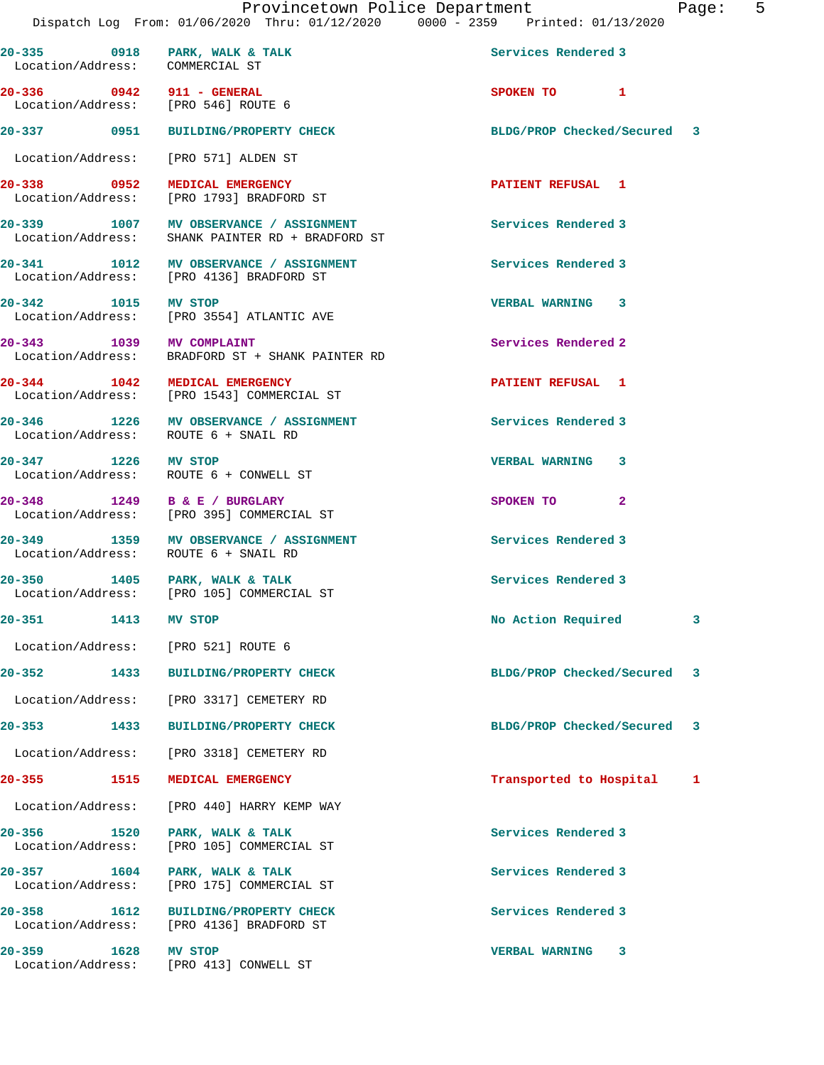| 20-335 0918 PARK, WALK & TALK<br>Location/Address: COMMERCIAL ST |                                                                                            | Services Rendered 3         |   |
|------------------------------------------------------------------|--------------------------------------------------------------------------------------------|-----------------------------|---|
| 20-336 0942 911 - GENERAL<br>Location/Address: [PRO 546] ROUTE 6 |                                                                                            | SPOKEN TO 1                 |   |
|                                                                  | 20-337 0951 BUILDING/PROPERTY CHECK                                                        | BLDG/PROP Checked/Secured 3 |   |
| Location/Address: [PRO 571] ALDEN ST                             |                                                                                            |                             |   |
|                                                                  | 20-338 0952 MEDICAL EMERGENCY<br>Location/Address: [PRO 1793] BRADFORD ST                  | <b>PATIENT REFUSAL 1</b>    |   |
|                                                                  | 20-339 1007 MV OBSERVANCE / ASSIGNMENT<br>Location/Address: SHANK PAINTER RD + BRADFORD ST | Services Rendered 3         |   |
|                                                                  | 20-341 1012 MV OBSERVANCE / ASSIGNMENT<br>Location/Address: [PRO 4136] BRADFORD ST         | Services Rendered 3         |   |
|                                                                  | 20-342 1015 MV STOP<br>Location/Address: [PRO 3554] ATLANTIC AVE                           | <b>VERBAL WARNING 3</b>     |   |
|                                                                  | 20-343 1039 MV COMPLAINT<br>Location/Address: BRADFORD ST + SHANK PAINTER RD               | Services Rendered 2         |   |
| 20-344 1042 MEDICAL EMERGENCY                                    | Location/Address: [PRO 1543] COMMERCIAL ST                                                 | PATIENT REFUSAL 1           |   |
| Location/Address: ROUTE 6 + SNAIL RD                             | 20-346 1226 MV OBSERVANCE / ASSIGNMENT                                                     | Services Rendered 3         |   |
| 20-347 1226 MV STOP                                              | Location/Address: ROUTE 6 + CONWELL ST                                                     | VERBAL WARNING 3            |   |
| 20-348 1249 B & E / BURGLARY                                     | Location/Address: [PRO 395] COMMERCIAL ST                                                  | SPOKEN TO 2                 |   |
| Location/Address: ROUTE 6 + SNAIL RD                             | 20-349 1359 MV OBSERVANCE / ASSIGNMENT                                                     | Services Rendered 3         |   |
| 20-350 1405 PARK, WALK & TALK                                    | Location/Address: [PRO 105] COMMERCIAL ST                                                  | Services Rendered 3         |   |
| 20-351 1413 MV STOP                                              |                                                                                            | No Action Required          | 3 |
| Location/Address:                                                | [PRO 521] ROUTE 6                                                                          |                             |   |
| 20-352<br>1433                                                   | <b>BUILDING/PROPERTY CHECK</b>                                                             | BLDG/PROP Checked/Secured 3 |   |
|                                                                  | Location/Address: [PRO 3317] CEMETERY RD                                                   |                             |   |
| 20-353<br>1433                                                   | <b>BUILDING/PROPERTY CHECK</b>                                                             | BLDG/PROP Checked/Secured   | 3 |
|                                                                  | Location/Address: [PRO 3318] CEMETERY RD                                                   |                             |   |
| 20-355 1515                                                      | MEDICAL EMERGENCY                                                                          | Transported to Hospital     | 1 |
| Location/Address:                                                | [PRO 440] HARRY KEMP WAY                                                                   |                             |   |
| 20-356<br>1520<br>Location/Address:                              | PARK, WALK & TALK<br>[PRO 105] COMMERCIAL ST                                               | Services Rendered 3         |   |
| $20 - 357$<br>1604<br>Location/Address:                          | PARK, WALK & TALK<br>[PRO 175] COMMERCIAL ST                                               | Services Rendered 3         |   |
| 20-358<br>Location/Address:                                      | 1612 BUILDING/PROPERTY CHECK<br>[PRO 4136] BRADFORD ST                                     | Services Rendered 3         |   |
| $20 - 359$<br>1628<br>Location/Address:                          | MV STOP<br>[PRO 413] CONWELL ST                                                            | VERBAL WARNING 3            |   |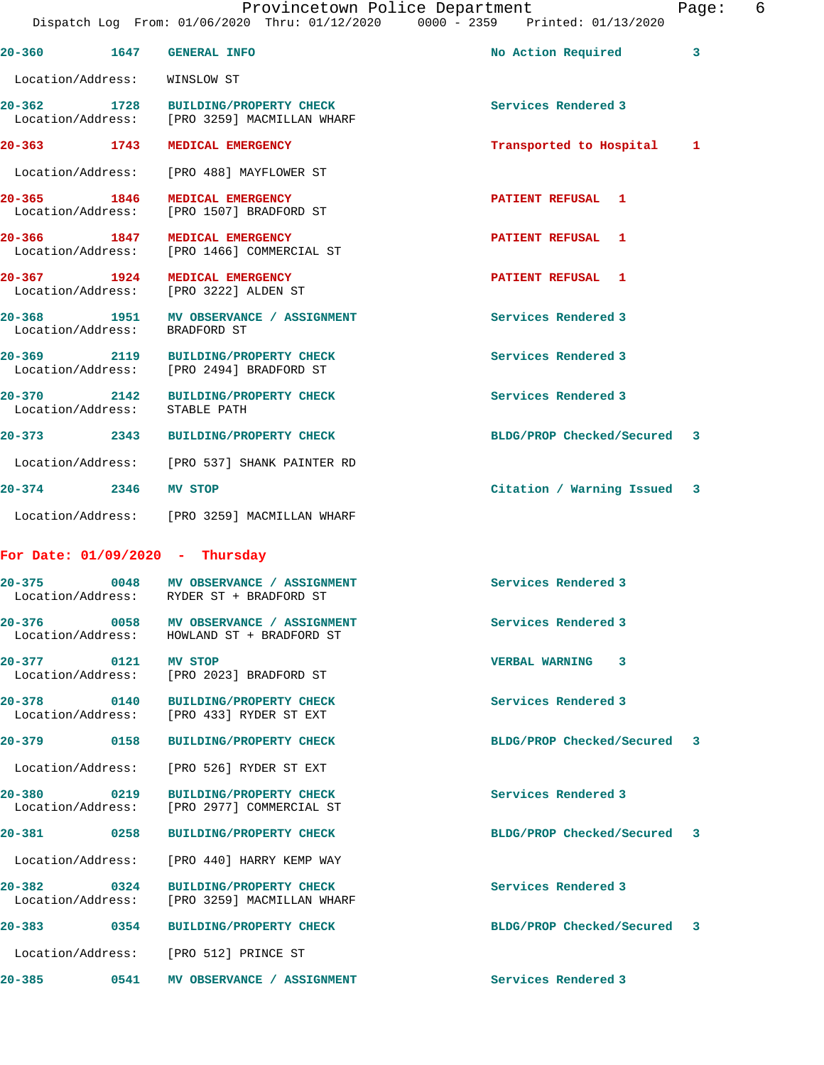| aa |  |  |
|----|--|--|
|    |  |  |

**20-360 1647 GENERAL INFO No Action Required 3** Location/Address: WINSLOW ST **20-362 1728 BUILDING/PROPERTY CHECK Services Rendered 3**  Location/Address: [PRO 3259] MACMILLAN WHARF **20-363 1743 MEDICAL EMERGENCY Transported to Hospital 1** Location/Address: [PRO 488] MAYFLOWER ST **20-365 1846 MEDICAL EMERGENCY PATIENT REFUSAL 1**  Location/Address: [PRO 1507] BRADFORD ST **20-366 1847 MEDICAL EMERGENCY PATIENT REFUSAL 1**  Location/Address: [PRO 1466] COMMERCIAL ST **20-367 1924 MEDICAL EMERGENCY PATIENT REFUSAL 1**  Location/Address: [PRO 3222] ALDEN ST **20-368 1951 MV OBSERVANCE / ASSIGNMENT Services Rendered 3**  Location/Address: BRADFORD ST **20-369 2119 BUILDING/PROPERTY CHECK Services Rendered 3**  Location/Address: [PRO 2494] BRADFORD ST **20-370 2142 BUILDING/PROPERTY CHECK Services Rendered 3**  Location/Address: STABLE PATH **20-373 2343 BUILDING/PROPERTY CHECK BLDG/PROP Checked/Secured 3** Location/Address: [PRO 537] SHANK PAINTER RD **20-374 2346 MV STOP Citation / Warning Issued 3** Location/Address: [PRO 3259] MACMILLAN WHARF **For Date: 01/09/2020 - Thursday 20-375 0048 MV OBSERVANCE / ASSIGNMENT Services Rendered 3**  Location/Address: RYDER ST + BRADFORD ST **20-376 0058 MV OBSERVANCE / ASSIGNMENT Services Rendered 3**  Location/Address: HOWLAND ST + BRADFORD ST **20-377 0121 MV STOP VERBAL WARNING 3**  Location/Address: [PRO 2023] BRADFORD ST **20-378 0140 BUILDING/PROPERTY CHECK Services Rendered 3**  Location/Address: [PRO 433] RYDER ST EXT **20-379 0158 BUILDING/PROPERTY CHECK BLDG/PROP Checked/Secured 3** Location/Address: [PRO 526] RYDER ST EXT **20-380 0219 BUILDING/PROPERTY CHECK Services Rendered 3**  Location/Address: [PRO 2977] COMMERCIAL ST **20-381 0258 BUILDING/PROPERTY CHECK BLDG/PROP Checked/Secured 3** Location/Address: [PRO 440] HARRY KEMP WAY **20-382 0324 BUILDING/PROPERTY CHECK Services Rendered 3**  Location/Address: [PRO 3259] MACMILLAN WHARF **20-383 0354 BUILDING/PROPERTY CHECK BLDG/PROP Checked/Secured 3** Location/Address: [PRO 512] PRINCE ST **20-385 0541 MV OBSERVANCE / ASSIGNMENT Services Rendered 3**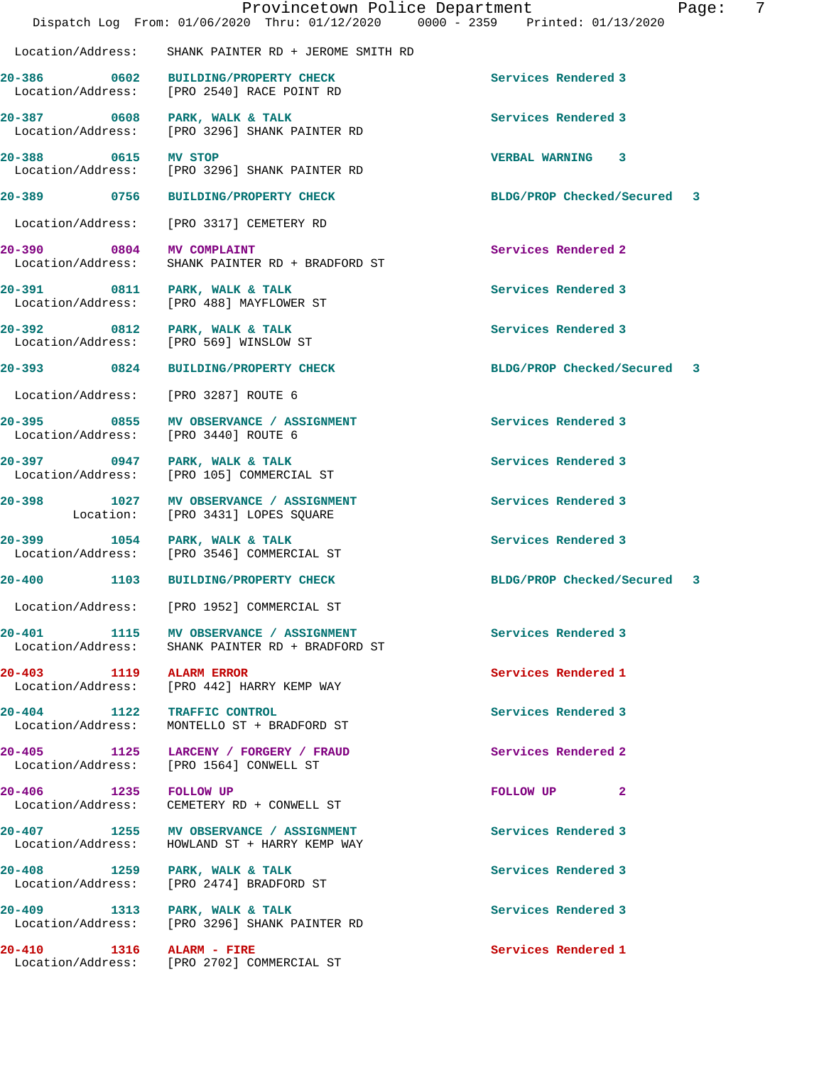|                                                    | Provincetown Police Department<br>Dispatch Log From: 01/06/2020 Thru: 01/12/2020 0000 - 2359 Printed: 01/13/2020 |                             | Page: | $\overline{7}$ |
|----------------------------------------------------|------------------------------------------------------------------------------------------------------------------|-----------------------------|-------|----------------|
| Location/Address:                                  | SHANK PAINTER RD + JEROME SMITH RD                                                                               |                             |       |                |
|                                                    | 20-386 0602 BUILDING/PROPERTY CHECK<br>Location/Address: [PRO 2540] RACE POINT RD                                | Services Rendered 3         |       |                |
| Location/Address:                                  | 20-387 0608 PARK, WALK & TALK<br>[PRO 3296] SHANK PAINTER RD                                                     | Services Rendered 3         |       |                |
| 20-388 0615 MV STOP                                | Location/Address: [PRO 3296] SHANK PAINTER RD                                                                    | <b>VERBAL WARNING 3</b>     |       |                |
|                                                    | 20-389 0756 BUILDING/PROPERTY CHECK                                                                              | BLDG/PROP Checked/Secured 3 |       |                |
| Location/Address:                                  | [PRO 3317] CEMETERY RD                                                                                           |                             |       |                |
| 20-390 0804<br>Location/Address:                   | <b>MV COMPLAINT</b><br>SHANK PAINTER RD + BRADFORD ST                                                            | Services Rendered 2         |       |                |
|                                                    | 20-391 0811 PARK, WALK & TALK<br>Location/Address: [PRO 488] MAYFLOWER ST                                        | Services Rendered 3         |       |                |
| 20-392 0812 PARK, WALK & TALK<br>Location/Address: | [PRO 569] WINSLOW ST                                                                                             | Services Rendered 3         |       |                |
|                                                    | 20-393 0824 BUILDING/PROPERTY CHECK                                                                              | BLDG/PROP Checked/Secured 3 |       |                |
| Location/Address:                                  | [PRO 3287] ROUTE 6                                                                                               |                             |       |                |
| Location/Address:                                  | 20-395 0855 MV OBSERVANCE / ASSIGNMENT<br>[PRO 3440] ROUTE 6                                                     | Services Rendered 3         |       |                |
| 20-397 0947 PARK, WALK & TALK<br>Location/Address: | [PRO 105] COMMERCIAL ST                                                                                          | Services Rendered 3         |       |                |
| Location:                                          | 20-398 1027 MV OBSERVANCE / ASSIGNMENT<br>[PRO 3431] LOPES SQUARE                                                | Services Rendered 3         |       |                |
| 20-399 1054 PARK, WALK & TALK                      | Location/Address: [PRO 3546] COMMERCIAL ST                                                                       | Services Rendered 3         |       |                |
|                                                    | 20-400 1103 BUILDING/PROPERTY CHECK                                                                              | BLDG/PROP Checked/Secured 3 |       |                |
| Location/Address:                                  | [PRO 1952] COMMERCIAL ST                                                                                         |                             |       |                |
| 20-401                                             | 1115 MV OBSERVANCE / ASSIGNMENT<br>Location/Address: SHANK PAINTER RD + BRADFORD ST                              | Services Rendered 3         |       |                |
| 20-403 1119 ALARM ERROR                            | Location/Address: [PRO 442] HARRY KEMP WAY                                                                       | Services Rendered 1         |       |                |
| 20-404 1122 TRAFFIC CONTROL<br>Location/Address:   | MONTELLO ST + BRADFORD ST                                                                                        | Services Rendered 3         |       |                |
| Location/Address:                                  | 20-405 1125 LARCENY / FORGERY / FRAUD<br>[PRO 1564] CONWELL ST                                                   | Services Rendered 2         |       |                |
| 20-406 1235<br>Location/Address:                   | <b>FOLLOW UP</b><br>CEMETERY RD + CONWELL ST                                                                     | FOLLOW UP <sub>2</sub>      |       |                |
|                                                    | 20-407 1255 MV OBSERVANCE / ASSIGNMENT<br>Location/Address: HOWLAND ST + HARRY KEMP WAY                          | Services Rendered 3         |       |                |
| 20-408 1259 PARK, WALK & TALK<br>Location/Address: | [PRO 2474] BRADFORD ST                                                                                           | Services Rendered 3         |       |                |
| 20-409 1313 PARK, WALK & TALK                      | Location/Address: [PRO 3296] SHANK PAINTER RD                                                                    | Services Rendered 3         |       |                |
| 20-410<br>$1316$ $\lambda$ LARM - FIRE             |                                                                                                                  | Services Rendered 1         |       |                |

Location/Address: [PRO 2702] COMMERCIAL ST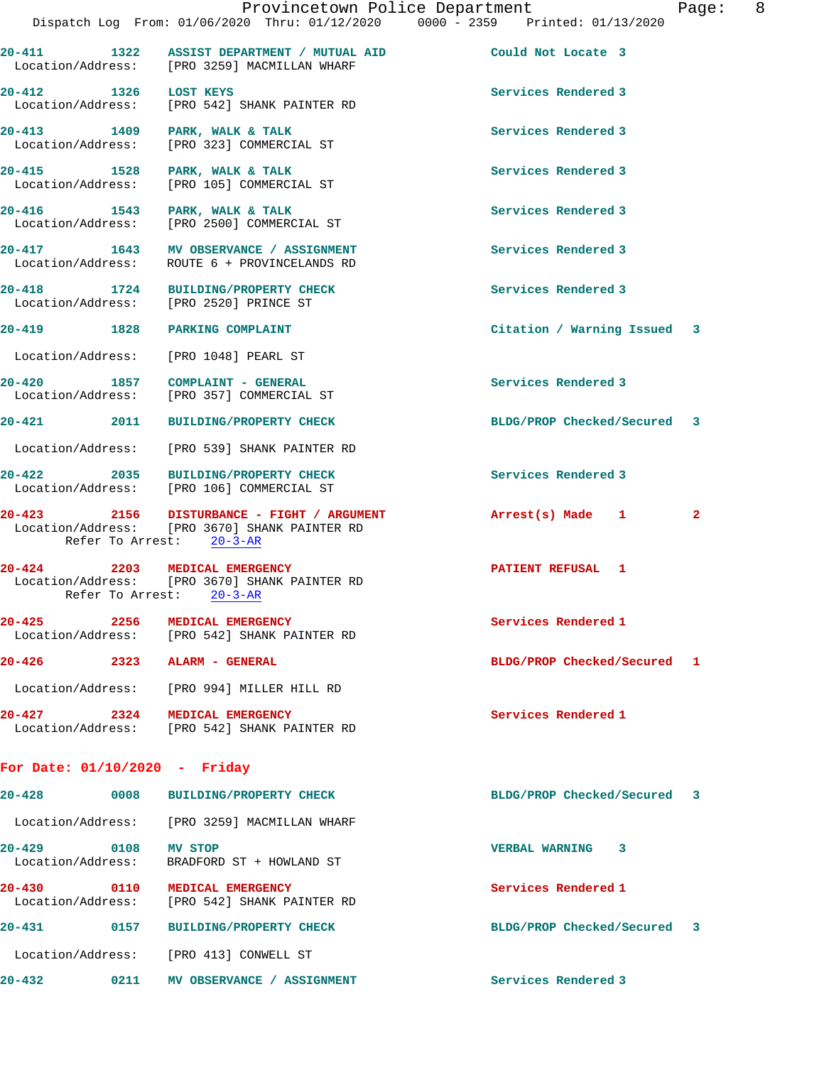|                                 |                  | Provincetown Police Department<br>Dispatch Log From: 01/06/2020 Thru: 01/12/2020 0000 - 2359 Printed: 01/13/2020        |                             | Page:          | 8 |
|---------------------------------|------------------|-------------------------------------------------------------------------------------------------------------------------|-----------------------------|----------------|---|
|                                 |                  | 20-411 1322 ASSIST DEPARTMENT / MUTUAL AID<br>Location/Address: [PRO 3259] MACMILLAN WHARF                              | Could Not Locate 3          |                |   |
| 20-412 1326 LOST KEYS           |                  | Location/Address: [PRO 542] SHANK PAINTER RD                                                                            | Services Rendered 3         |                |   |
|                                 |                  | 20-413 1409 PARK, WALK & TALK<br>Location/Address: [PRO 323] COMMERCIAL ST                                              | Services Rendered 3         |                |   |
|                                 |                  | 20-415 1528 PARK, WALK & TALK<br>Location/Address: [PRO 105] COMMERCIAL ST                                              | Services Rendered 3         |                |   |
|                                 |                  | 20-416 1543 PARK, WALK & TALK<br>Location/Address: [PRO 2500] COMMERCIAL ST                                             | Services Rendered 3         |                |   |
|                                 |                  | 20-417 1643 MV OBSERVANCE / ASSIGNMENT<br>Location/Address: ROUTE 6 + PROVINCELANDS RD                                  | Services Rendered 3         |                |   |
|                                 |                  | 20-418 1724 BUILDING/PROPERTY CHECK<br>Location/Address: [PRO 2520] PRINCE ST                                           | Services Rendered 3         |                |   |
|                                 |                  | 20-419 1828 PARKING COMPLAINT                                                                                           | Citation / Warning Issued 3 |                |   |
|                                 |                  | Location/Address: [PRO 1048] PEARL ST                                                                                   |                             |                |   |
|                                 |                  | 20-420 1857 COMPLAINT - GENERAL<br>Location/Address: [PRO 357] COMMERCIAL ST                                            | Services Rendered 3         |                |   |
| 20-421 2011                     |                  | <b>BUILDING/PROPERTY CHECK</b>                                                                                          | BLDG/PROP Checked/Secured 3 |                |   |
| Location/Address:               |                  | [PRO 539] SHANK PAINTER RD                                                                                              |                             |                |   |
| 20-422 2035                     |                  | BUILDING/PROPERTY CHECK<br>Location/Address: [PRO 106] COMMERCIAL ST                                                    | Services Rendered 3         |                |   |
|                                 |                  | 20-423 2156 DISTURBANCE - FIGHT / ARGUMENT<br>Location/Address: [PRO 3670] SHANK PAINTER RD<br>Refer To Arrest: 20-3-AR | Arrest(s) Made 1            | $\overline{a}$ |   |
|                                 | Refer To Arrest: | 20-424 2203 MEDICAL EMERGENCY<br>Location/Address: [PRO 3670] SHANK PAINTER RD<br>$20 - 3 - AR$                         | <b>PATIENT REFUSAL 1</b>    |                |   |
| $20 - 425$<br>Location/Address: | 2256             | MEDICAL EMERGENCY<br>[PRO 542] SHANK PAINTER RD                                                                         | Services Rendered 1         |                |   |
| 20-426                          | 2323             | ALARM - GENERAL                                                                                                         | BLDG/PROP Checked/Secured   | 1              |   |
| Location/Address:               |                  | [PRO 994] MILLER HILL RD                                                                                                |                             |                |   |
| 20-427<br>Location/Address:     | 2324             | MEDICAL EMERGENCY<br>[PRO 542] SHANK PAINTER RD                                                                         | Services Rendered 1         |                |   |
|                                 |                  |                                                                                                                         |                             |                |   |

## **For Date: 01/10/2020 - Friday**

| $20 - 428$                      | 0008 | <b>BUILDING/PROPERTY CHECK</b>                  | BLDG/PROP Checked/Secured                             | 3 |
|---------------------------------|------|-------------------------------------------------|-------------------------------------------------------|---|
| Location/Address:               |      | [PRO 3259] MACMILLAN WHARF                      |                                                       |   |
| $20 - 429$<br>Location/Address: | 0108 | MV STOP<br>BRADFORD ST + HOWLAND ST             | 3<br><b>VERBAL WARNING</b>                            |   |
| $20 - 430$<br>Location/Address: | 0110 | MEDICAL EMERGENCY<br>[PRO 542] SHANK PAINTER RD | Services Rendered 1                                   |   |
| $20 - 431$                      | 0157 | <b>BUILDING/PROPERTY CHECK</b>                  | BLDG/PROP Checked/Secured<br>$\overline{\phantom{a}}$ |   |
| Location/Address:               |      | FPRO 4131 CONWELL ST                            |                                                       |   |
| $20 - 432$                      | 0211 | <b>OBSERVANCE</b><br><b>ASSIGNMENT</b><br>МV    | Services Rendered 3                                   |   |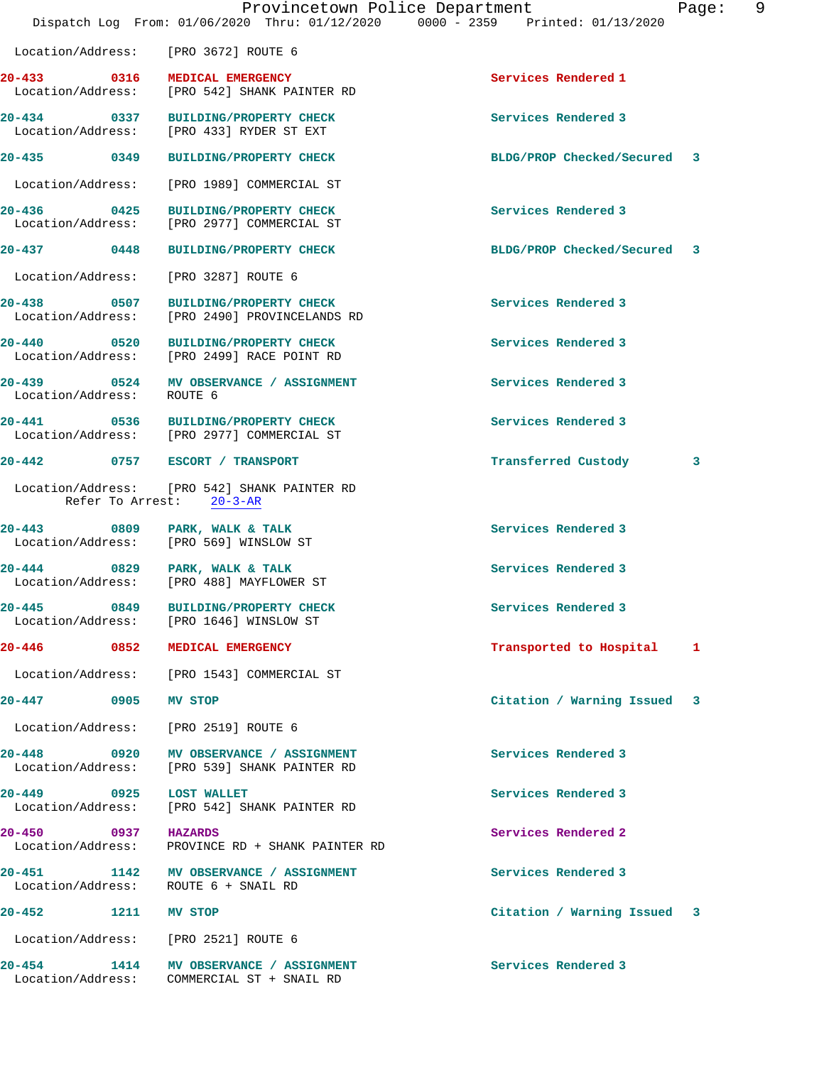|                                          | Provincetown Police Department<br>Dispatch Log From: 01/06/2020 Thru: 01/12/2020 0000 - 2359 Printed: 01/13/2020 |                             | Page: | 9 |
|------------------------------------------|------------------------------------------------------------------------------------------------------------------|-----------------------------|-------|---|
|                                          | Location/Address: [PRO 3672] ROUTE 6                                                                             |                             |       |   |
|                                          | 20-433 0316 MEDICAL EMERGENCY<br>Location/Address: [PRO 542] SHANK PAINTER RD                                    | Services Rendered 1         |       |   |
|                                          | 20-434 0337 BUILDING/PROPERTY CHECK<br>Location/Address: [PRO 433] RYDER ST EXT                                  | Services Rendered 3         |       |   |
|                                          | 20-435 0349 BUILDING/PROPERTY CHECK                                                                              | BLDG/PROP Checked/Secured 3 |       |   |
| Location/Address:                        | [PRO 1989] COMMERCIAL ST                                                                                         |                             |       |   |
| 20-436                                   | 20-436 0425 BUILDING/PROPERTY CHECK<br>Location/Address: [PRO 2977] COMMERCIAL ST                                | Services Rendered 3         |       |   |
| 20-437 0448                              | <b>BUILDING/PROPERTY CHECK</b>                                                                                   | BLDG/PROP Checked/Secured 3 |       |   |
| Location/Address:                        | [PRO 3287] ROUTE 6                                                                                               |                             |       |   |
| 20-438                                   | 0507 BUILDING/PROPERTY CHECK<br>Location/Address: [PRO 2490] PROVINCELANDS RD                                    | Services Rendered 3         |       |   |
|                                          | 20-440 0520 BUILDING/PROPERTY CHECK<br>Location/Address: [PRO 2499] RACE POINT RD                                | Services Rendered 3         |       |   |
| 20-439<br>Location/Address:              | 0524 MV OBSERVANCE / ASSIGNMENT<br>ROUTE 6                                                                       | Services Rendered 3         |       |   |
|                                          | 20-441 0536 BUILDING/PROPERTY CHECK<br>Location/Address: [PRO 2977] COMMERCIAL ST                                | Services Rendered 3         |       |   |
|                                          | 20-442 0757 ESCORT / TRANSPORT                                                                                   | Transferred Custody         | 3     |   |
|                                          | Location/Address: [PRO 542] SHANK PAINTER RD<br>Refer To Arrest: 20-3-AR                                         |                             |       |   |
| 20-443                                   | 0809 PARK, WALK & TALK<br>Location/Address: [PRO 569] WINSLOW ST                                                 | Services Rendered 3         |       |   |
|                                          | 20-444 0829 PARK, WALK & TALK<br>Location/Address: [PRO 488] MAYFLOWER ST                                        | Services Rendered 3         |       |   |
| $20 - 445$<br>0849                       | <b>BUILDING/PROPERTY CHECK</b><br>Location/Address: [PRO 1646] WINSLOW ST                                        | Services Rendered 3         |       |   |
|                                          | 20-446 0852 MEDICAL EMERGENCY                                                                                    | Transported to Hospital     | 1     |   |
|                                          | Location/Address: [PRO 1543] COMMERCIAL ST                                                                       |                             |       |   |
| 20-447<br>0905                           | <b>MV STOP</b>                                                                                                   | Citation / Warning Issued 3 |       |   |
|                                          | Location/Address: [PRO 2519] ROUTE 6                                                                             |                             |       |   |
|                                          | 20-448 0920 MV OBSERVANCE / ASSIGNMENT<br>Location/Address: [PRO 539] SHANK PAINTER RD                           | Services Rendered 3         |       |   |
| 20-449<br>0925<br>Location/Address:      | <b>LOST WALLET</b><br>[PRO 542] SHANK PAINTER RD                                                                 | Services Rendered 3         |       |   |
| 20-450 0937 HAZARDS<br>Location/Address: | PROVINCE RD + SHANK PAINTER RD                                                                                   | Services Rendered 2         |       |   |
| Location/Address:                        | 20-451 1142 MV OBSERVANCE / ASSIGNMENT<br>ROUTE 6 + SNAIL RD                                                     | Services Rendered 3         |       |   |
| $20 - 452$                               | 1211 MV STOP                                                                                                     | Citation / Warning Issued 3 |       |   |
|                                          | Location/Address: [PRO 2521] ROUTE 6                                                                             |                             |       |   |
| 20-454 1414                              | MV OBSERVANCE / ASSIGNMENT<br>Location/Address: COMMERCIAL ST + SNAIL RD                                         | Services Rendered 3         |       |   |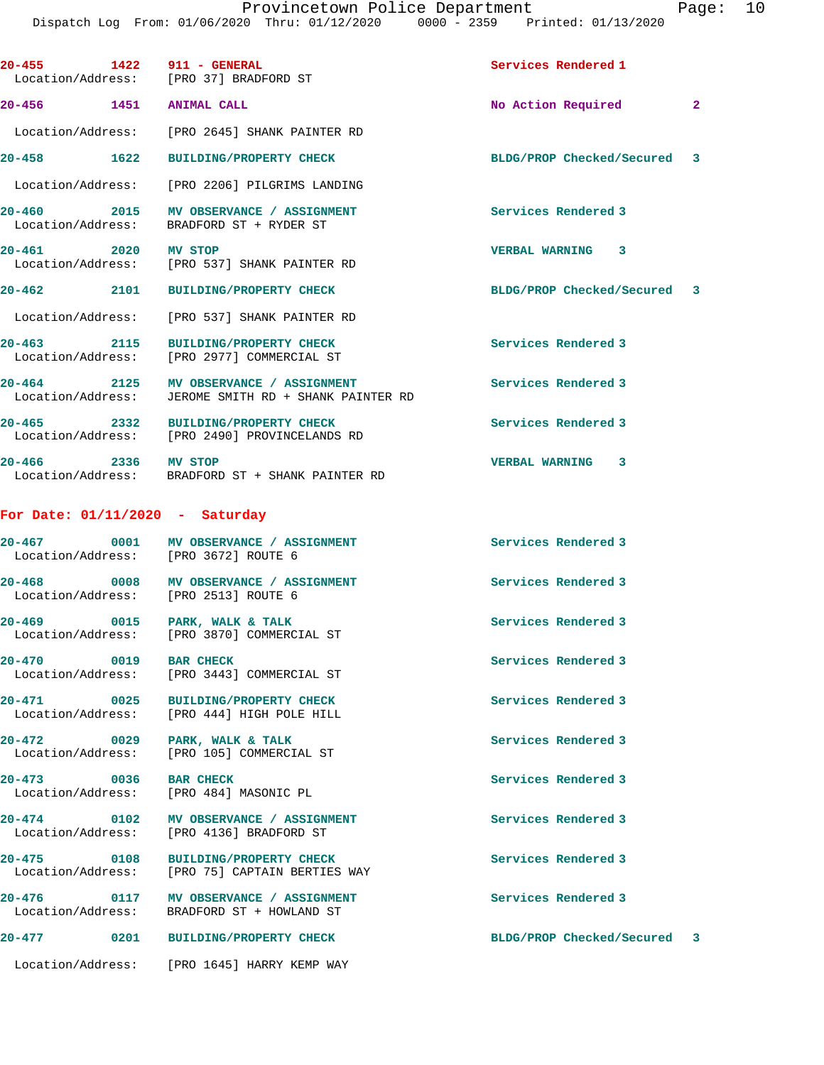**20-455 1422 911 - GENERAL Services Rendered 1**  Location/Address: [PRO 37] BRADFORD ST **20-456 1451 ANIMAL CALL No Action Required 2** Location/Address: [PRO 2645] SHANK PAINTER RD **20-458 1622 BUILDING/PROPERTY CHECK BLDG/PROP Checked/Secured 3** Location/Address: [PRO 2206] PILGRIMS LANDING **20-460 2015 MV OBSERVANCE / ASSIGNMENT Services Rendered 3**  Location/Address: BRADFORD ST + RYDER ST **20-461 2020 MV STOP VERBAL WARNING 3**  Location/Address: [PRO 537] SHANK PAINTER RD **20-462 2101 BUILDING/PROPERTY CHECK BLDG/PROP Checked/Secured 3** Location/Address: [PRO 537] SHANK PAINTER RD **20-463 2115 BUILDING/PROPERTY CHECK Services Rendered 3**  Location/Address: [PRO 2977] COMMERCIAL ST 20-464 2125 MV OBSERVANCE / ASSIGNMENT **Services Rendered 3** <br>
Location/Address: JEROME SMITH RD + SHANK PAINTER RD JEROME SMITH RD + SHANK PAINTER RD **20-465 2332 BUILDING/PROPERTY CHECK Services Rendered 3**  Location/Address: [PRO 2490] PROVINCELANDS RD **20-466 2336 MV STOP VERBAL WARNING 3**  Location/Address: BRADFORD ST + SHANK PAINTER RD **For Date: 01/11/2020 - Saturday 20-467 0001 MV OBSERVANCE / ASSIGNMENT Services Rendered 3**  Location/Address: [PRO 3672] ROUTE 6 20-468 **0008** MV OBSERVANCE / ASSIGNMENT Services Rendered 3 Location/Address: [PRO 2513] ROUTE 6 **20-469 0015 PARK, WALK & TALK Services Rendered 3**  Location/Address: [PRO 3870] COMMERCIAL ST **20-470 0019 BAR CHECK Services Rendered 3**  Location/Address: [PRO 3443] COMMERCIAL ST **20-471 0025 BUILDING/PROPERTY CHECK Services Rendered 3**  Location/Address: [PRO 444] HIGH POLE HILL **20-472 0029 PARK, WALK & TALK Services Rendered 3**  [PRO 105] COMMERCIAL ST **20-473 0036 BAR CHECK Services Rendered 3**  Location/Address: **20-474 0102 MV OBSERVANCE / ASSIGNMENT Services Rendered 3**  Location/Address: [PRO 4136] BRADFORD ST **20-475 0108 BUILDING/PROPERTY CHECK Services Rendered 3**  Location/Address: [PRO 75] CAPTAIN BERTIES WAY **20-476 0117 MV OBSERVANCE / ASSIGNMENT Services Rendered 3**  Location/Address: BRADFORD ST + HOWLAND ST

Location/Address: [PRO 1645] HARRY KEMP WAY

**20-477 0201 BUILDING/PROPERTY CHECK BLDG/PROP Checked/Secured 3**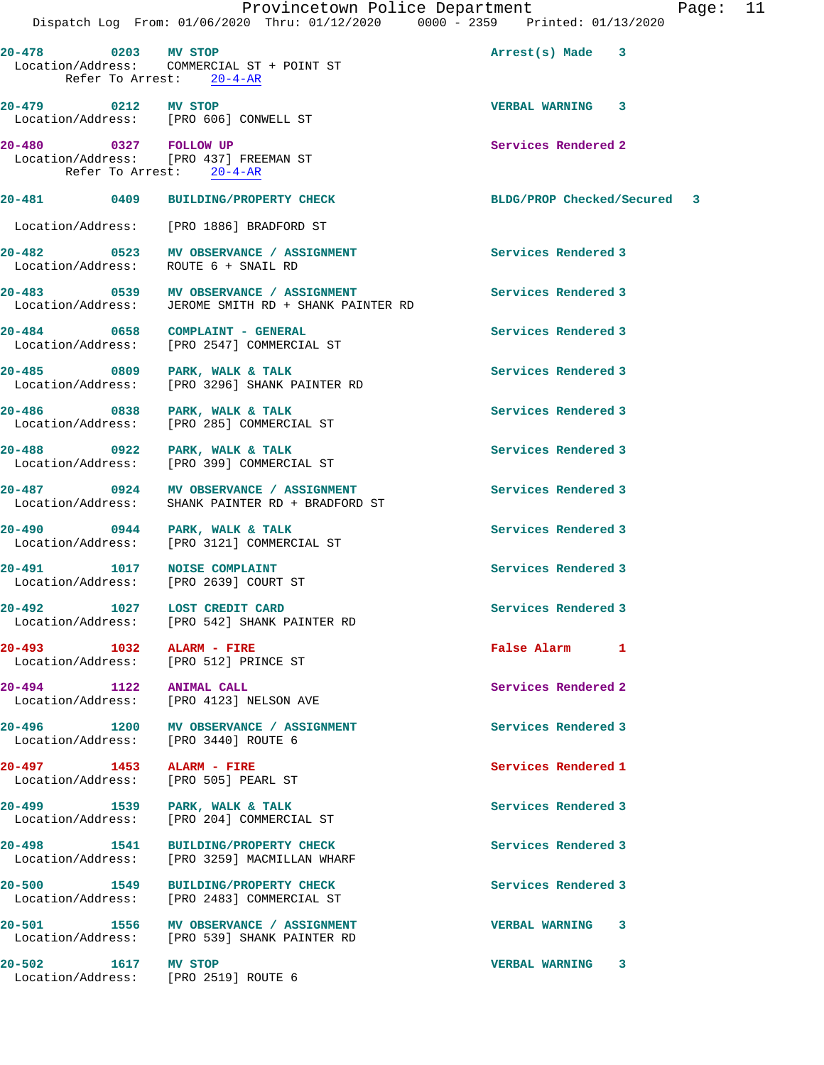|                                                             | Provincetown Police Department<br>Dispatch Log From: 01/06/2020 Thru: 01/12/2020 0000 - 2359 Printed: 01/13/2020 | Page: 11                       |  |
|-------------------------------------------------------------|------------------------------------------------------------------------------------------------------------------|--------------------------------|--|
| 20-478 0203 MV STOP                                         | Refer To Arrest: 20-4-AR                                                                                         | $Arrest(s)$ Made $\frac{3}{5}$ |  |
| 20-479 0212 MV STOP                                         | Location/Address: [PRO 606] CONWELL ST                                                                           | VERBAL WARNING 3               |  |
| 20-480 0327 FOLLOW UP                                       | Location/Address: [PRO 437] FREEMAN ST<br>Refer To Arrest: 20-4-AR                                               | Services Rendered 2            |  |
|                                                             | 20-481 0409 BUILDING/PROPERTY CHECK                                                                              | BLDG/PROP Checked/Secured 3    |  |
|                                                             | Location/Address: [PRO 1886] BRADFORD ST                                                                         |                                |  |
|                                                             | 20-482 0523 MV OBSERVANCE / ASSIGNMENT<br>Location/Address: ROUTE 6 + SNAIL RD                                   | Services Rendered 3            |  |
|                                                             | 20-483 0539 MV OBSERVANCE / ASSIGNMENT<br>Location/Address: JEROME SMITH RD + SHANK PAINTER RD                   | Services Rendered 3            |  |
|                                                             | 20-484 0658 COMPLAINT - GENERAL<br>Location/Address: [PRO 2547] COMMERCIAL ST                                    | Services Rendered 3            |  |
| 20-485 0809 PARK, WALK & TALK<br>Location/Address:          | [PRO 3296] SHANK PAINTER RD                                                                                      | Services Rendered 3            |  |
| 20-486 0838 PARK, WALK & TALK                               | Location/Address: [PRO 285] COMMERCIAL ST                                                                        | Services Rendered 3            |  |
| 20-488 0922 PARK, WALK & TALK<br>Location/Address:          | [PRO 399] COMMERCIAL ST                                                                                          | Services Rendered 3            |  |
|                                                             | 20-487 0924 MV OBSERVANCE / ASSIGNMENT<br>Location/Address: SHANK PAINTER RD + BRADFORD ST                       | Services Rendered 3            |  |
| 20-490 0944 PARK, WALK & TALK                               | Location/Address: [PRO 3121] COMMERCIAL ST                                                                       | Services Rendered 3            |  |
| 20-491 1017 NOISE COMPLAINT                                 | Location/Address: [PRO 2639] COURT ST                                                                            | Services Rendered 3            |  |
|                                                             | 20-492 1027 LOST CREDIT CARD<br>Location/Address: [PRO 542] SHANK PAINTER RD                                     | Services Rendered 3            |  |
|                                                             | Location/Address: [PRO 512] PRINCE ST                                                                            | False Alarm 1                  |  |
| 20-494 1122<br>Location/Address:                            | <b>ANIMAL CALL</b><br>[PRO 4123] NELSON AVE                                                                      | Services Rendered 2            |  |
| Location/Address: [PRO 3440] ROUTE 6                        | 20-496 1200 MV OBSERVANCE / ASSIGNMENT                                                                           | Services Rendered 3            |  |
| 20-497 1453 ALARM - FIRE<br>Location/Address:               | [PRO 505] PEARL ST                                                                                               | Services Rendered 1            |  |
| 20-499 1539 PARK, WALK & TALK                               | Location/Address: [PRO 204] COMMERCIAL ST                                                                        | Services Rendered 3            |  |
| Location/Address:                                           | 20-498 1541 BUILDING/PROPERTY CHECK<br>[PRO 3259] MACMILLAN WHARF                                                | Services Rendered 3            |  |
| 20-500                                                      | 1549 BUILDING/PROPERTY CHECK<br>Location/Address: [PRO 2483] COMMERCIAL ST                                       | Services Rendered 3            |  |
|                                                             | 20-501 1556 MV OBSERVANCE / ASSIGNMENT<br>Location/Address: [PRO 539] SHANK PAINTER RD                           | <b>VERBAL WARNING 3</b>        |  |
| 20-502 1617 MV STOP<br>Location/Address: [PRO 2519] ROUTE 6 |                                                                                                                  | VERBAL WARNING 3               |  |
|                                                             |                                                                                                                  |                                |  |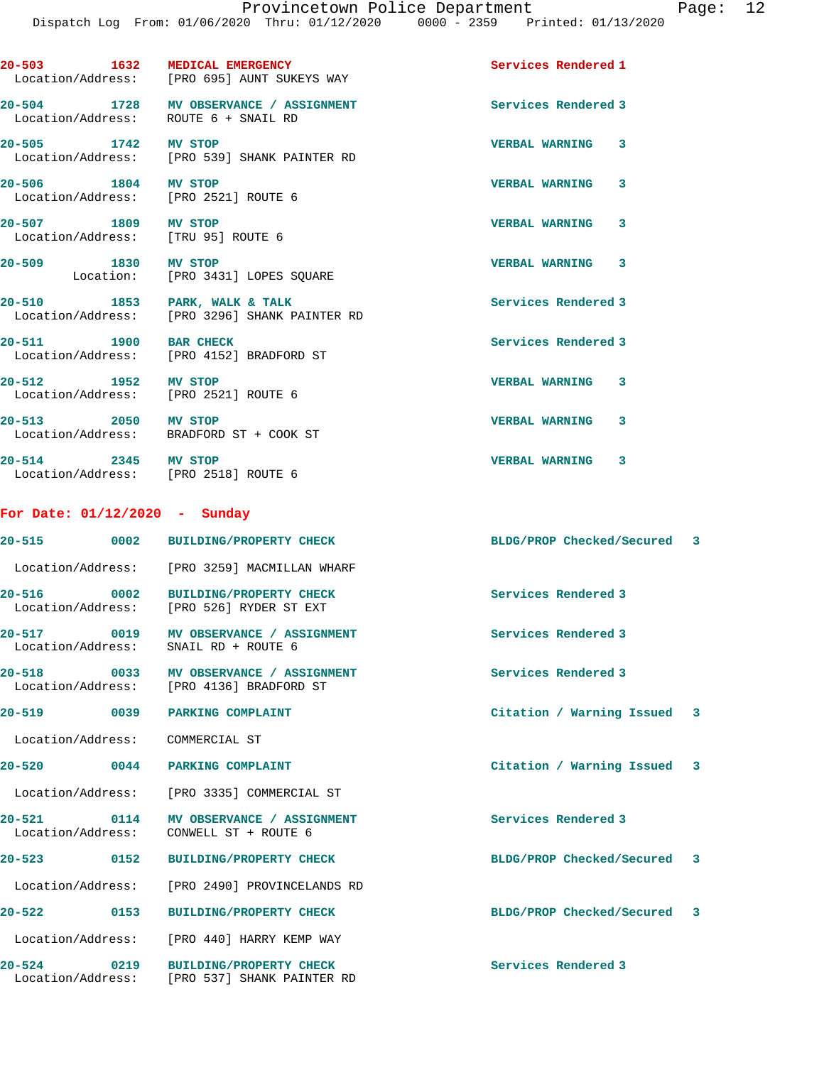**20-503 1632 MEDICAL EMERGENCY Services Rendered 1** 

 Location/Address: [PRO 695] AUNT SUKEYS WAY **20-504 1728 MV OBSERVANCE / ASSIGNMENT Services Rendered 3**  Location/Address: ROUTE 6 + SNAIL RD **20-505 1742 MV STOP VERBAL WARNING 3**  Location/Address: [PRO 539] SHANK PAINTER RD **20-506 1804 MV STOP VERBAL WARNING 3**  Location/Address: [PRO 2521] ROUTE 6 **20-507 1809 MV STOP VERBAL WARNING 3**  Location/Address: [TRU 95] ROUTE 6 **20-509 1830 MV STOP VERBAL WARNING 3**  Location: [PRO 3431] LOPES SQUARE **20-510 1853 PARK, WALK & TALK Services Rendered 3**  Location/Address: [PRO 3296] SHANK PAINTER RD **20-511** 1900 BAR CHECK **Services** Rendered 3 Location/Address: [PRO 4152] BRADFORD ST **20-512 1952 MV STOP VERBAL WARNING 3**  Location/Address: [PRO 2521] ROUTE 6 **20-513 2050 MV STOP VERBAL WARNING 3**  Location/Address: BRADFORD ST + COOK ST **20-514 2345 MV STOP VERBAL WARNING 3**  Location/Address: [PRO 2518] ROUTE 6 **For Date: 01/12/2020 - Sunday 20-515 0002 BUILDING/PROPERTY CHECK BLDG/PROP Checked/Secured 3** Location/Address: [PRO 3259] MACMILLAN WHARF **20-516 0002 BUILDING/PROPERTY CHECK Services Rendered 3**  Location/Address: [PRO 526] RYDER ST EXT **20-517 0019 MV OBSERVANCE / ASSIGNMENT Services Rendered 3**  Location/Address: SNAIL RD + ROUTE 6 **20-518 0033 MV OBSERVANCE / ASSIGNMENT Services Rendered 3**  Location/Address: [PRO 4136] BRADFORD ST **20-519 0039 PARKING COMPLAINT Citation / Warning Issued 3** Location/Address: COMMERCIAL ST **20-520 0044 PARKING COMPLAINT Citation / Warning Issued 3** Location/Address: [PRO 3335] COMMERCIAL ST **20-521 0114 MV OBSERVANCE / ASSIGNMENT Services Rendered 3**  Location/Address: CONWELL ST + ROUTE 6 **20-523 0152 BUILDING/PROPERTY CHECK BLDG/PROP Checked/Secured 3** Location/Address: [PRO 2490] PROVINCELANDS RD **20-522 0153 BUILDING/PROPERTY CHECK BLDG/PROP Checked/Secured 3** Location/Address: [PRO 440] HARRY KEMP WAY **20-524 0219 BUILDING/PROPERTY CHECK Services Rendered 3**  Location/Address: [PRO 537] SHANK PAINTER RD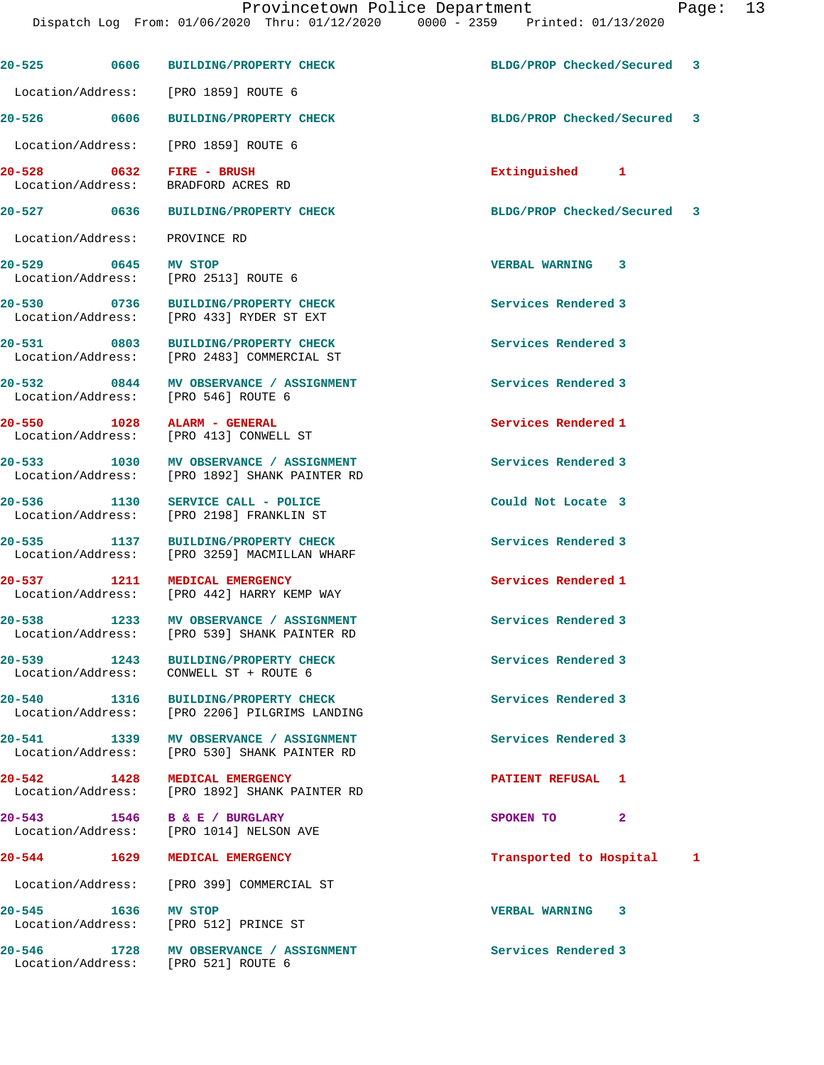Dispatch Log From: 01/06/2020 Thru: 01/12/2020 0000 - 2359 Printed: 01/13/2020

|                               |      | 20-525 0606 BUILDING/PROPERTY CHECK                                                     | BLDG/PROP Checked/Secured 3 |  |
|-------------------------------|------|-----------------------------------------------------------------------------------------|-----------------------------|--|
|                               |      | Location/Address: [PRO 1859] ROUTE 6                                                    |                             |  |
| 20-526 0606                   |      | <b>BUILDING/PROPERTY CHECK</b>                                                          | BLDG/PROP Checked/Secured 3 |  |
|                               |      | Location/Address: [PRO 1859] ROUTE 6                                                    |                             |  |
| Location/Address:             |      | 20-528 0632 FIRE - BRUSH<br>BRADFORD ACRES RD                                           | Extinguished 1              |  |
|                               |      | 20-527 0636 BUILDING/PROPERTY CHECK                                                     | BLDG/PROP Checked/Secured 3 |  |
| Location/Address: PROVINCE RD |      |                                                                                         |                             |  |
| 20-529 0645 MV STOP           |      | Location/Address: [PRO 2513] ROUTE 6                                                    | VERBAL WARNING 3            |  |
|                               |      | 20-530 0736 BUILDING/PROPERTY CHECK<br>Location/Address: [PRO 433] RYDER ST EXT         | Services Rendered 3         |  |
|                               |      | 20-531 0803 BUILDING/PROPERTY CHECK<br>Location/Address: [PRO 2483] COMMERCIAL ST       | Services Rendered 3         |  |
|                               |      | 20-532 0844 MV OBSERVANCE / ASSIGNMENT<br>Location/Address: [PRO 546] ROUTE 6           | Services Rendered 3         |  |
| 20-550                        | 1028 | ALARM - GENERAL<br>Location/Address: [PRO 413] CONWELL ST                               | Services Rendered 1         |  |
|                               |      | 20-533 1030 MV OBSERVANCE / ASSIGNMENT<br>Location/Address: [PRO 1892] SHANK PAINTER RD | Services Rendered 3         |  |
| 20-536                        | 1130 | SERVICE CALL - POLICE<br>Location/Address: [PRO 2198] FRANKLIN ST                       | Could Not Locate 3          |  |
|                               |      | 20-535 1137 BUILDING/PROPERTY CHECK<br>Location/Address: [PRO 3259] MACMILLAN WHARF     | Services Rendered 3         |  |
|                               |      | 20-537 1211 MEDICAL EMERGENCY<br>Location/Address: [PRO 442] HARRY KEMP WAY             | Services Rendered 1         |  |
|                               |      | 20-538 1233 MV OBSERVANCE / ASSIGNMENT<br>Location/Address: [PRO 539] SHANK PAINTER RD  | Services Rendered 3         |  |
|                               |      | 20-539 1243 BUILDING/PROPERTY CHECK<br>Location/Address: CONWELL ST + ROUTE 6           | Services Rendered 3         |  |
|                               |      | 20-540 1316 BUILDING/PROPERTY CHECK<br>Location/Address: [PRO 2206] PILGRIMS LANDING    | Services Rendered 3         |  |
|                               |      | 20-541 1339 MV OBSERVANCE / ASSIGNMENT<br>Location/Address: [PRO 530] SHANK PAINTER RD  | Services Rendered 3         |  |
|                               |      | 20-542 1428 MEDICAL EMERGENCY<br>Location/Address: [PRO 1892] SHANK PAINTER RD          | PATIENT REFUSAL 1           |  |
| 20-543                        |      | 1546 B & E / BURGLARY<br>Location/Address: [PRO 1014] NELSON AVE                        | SPOKEN TO<br>$\mathbf{2}$   |  |
| 20-544 1629                   |      | MEDICAL EMERGENCY                                                                       | Transported to Hospital 1   |  |
|                               |      | Location/Address: [PRO 399] COMMERCIAL ST                                               |                             |  |
| $20 - 545$                    |      | 1636 MV STOP<br>Location/Address: [PRO 512] PRINCE ST                                   | VERBAL WARNING 3            |  |
|                               |      | 20-546 1728 MV OBSERVANCE / ASSIGNMENT<br>Location/Address: [PRO 521] ROUTE 6           | Services Rendered 3         |  |
|                               |      |                                                                                         |                             |  |